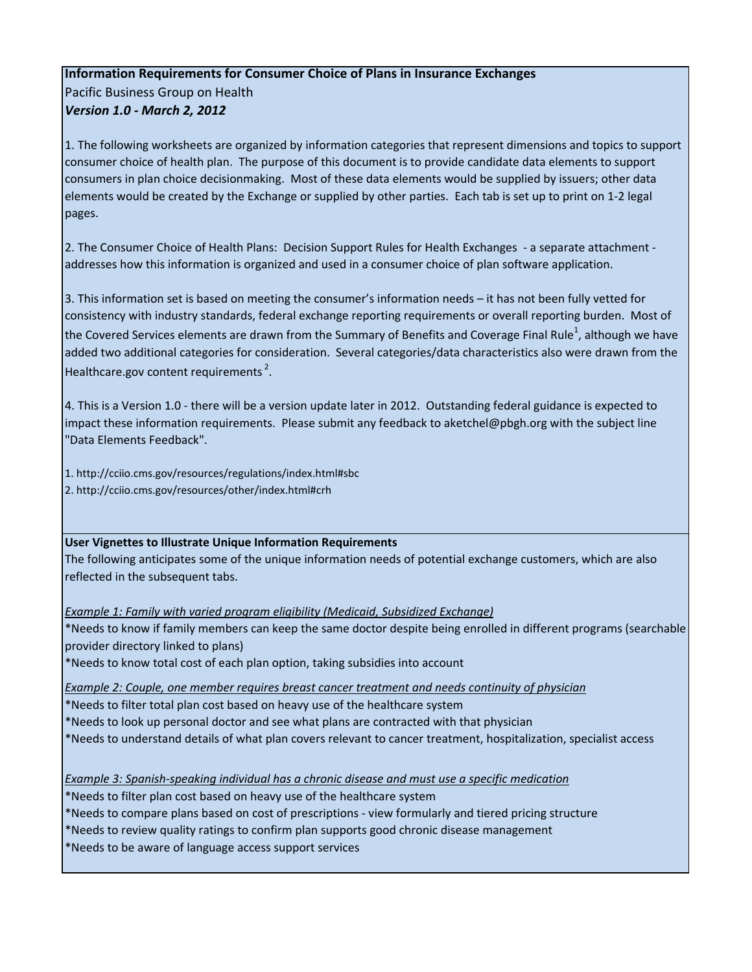## **Information Requirements for Consumer Choice of Plans in Insurance Exchanges**

Pacific Business Group on Health *Version 1.0 - March 2, 2012*

1. The following worksheets are organized by information categories that represent dimensions and topics to support consumer choice of health plan. The purpose of this document is to provide candidate data elements to support consumers in plan choice decisionmaking. Most of these data elements would be supplied by issuers; other data elements would be created by the Exchange or supplied by other parties. Each tab is set up to print on 1-2 legal pages.

2. The Consumer Choice of Health Plans: Decision Support Rules for Health Exchanges - a separate attachment addresses how this information is organized and used in a consumer choice of plan software application.

3. This information set is based on meeting the consumer's information needs – it has not been fully vetted for consistency with industry standards, federal exchange reporting requirements or overall reporting burden. Most of the Covered Services elements are drawn from the Summary of Benefits and Coverage Final Rule<sup>1</sup>, although we have added two additional categories for consideration. Several categories/data characteristics also were drawn from the Healthcare.gov content requirements<sup>2</sup>.

4. This is a Version 1.0 - there will be a version update later in 2012. Outstanding federal guidance is expected to impact these information requirements. Please submit any feedback to aketchel@pbgh.org with the subject line "Data Elements Feedback".

1. http://cciio.cms.gov/resources/regulations/index.html#sbc 2. http://cciio.cms.gov/resources/other/index.html#crh

## **User Vignettes to Illustrate Unique Information Requirements**

The following anticipates some of the unique information needs of potential exchange customers, which are also reflected in the subsequent tabs.

*Example 1: Family with varied program eligibility (Medicaid, Subsidized Exchange)*

\*Needs to know if family members can keep the same doctor despite being enrolled in different programs (searchable provider directory linked to plans)

\*Needs to know total cost of each plan option, taking subsidies into account

*Example 2: Couple, one member requires breast cancer treatment and needs continuity of physician*

\*Needs to filter total plan cost based on heavy use of the healthcare system

\*Needs to look up personal doctor and see what plans are contracted with that physician

\*Needs to understand details of what plan covers relevant to cancer treatment, hospitalization, specialist access

*Example 3: Spanish-speaking individual has a chronic disease and must use a specific medication*

\*Needs to filter plan cost based on heavy use of the healthcare system

\*Needs to compare plans based on cost of prescriptions - view formularly and tiered pricing structure

\*Needs to review quality ratings to confirm plan supports good chronic disease management

\*Needs to be aware of language access support services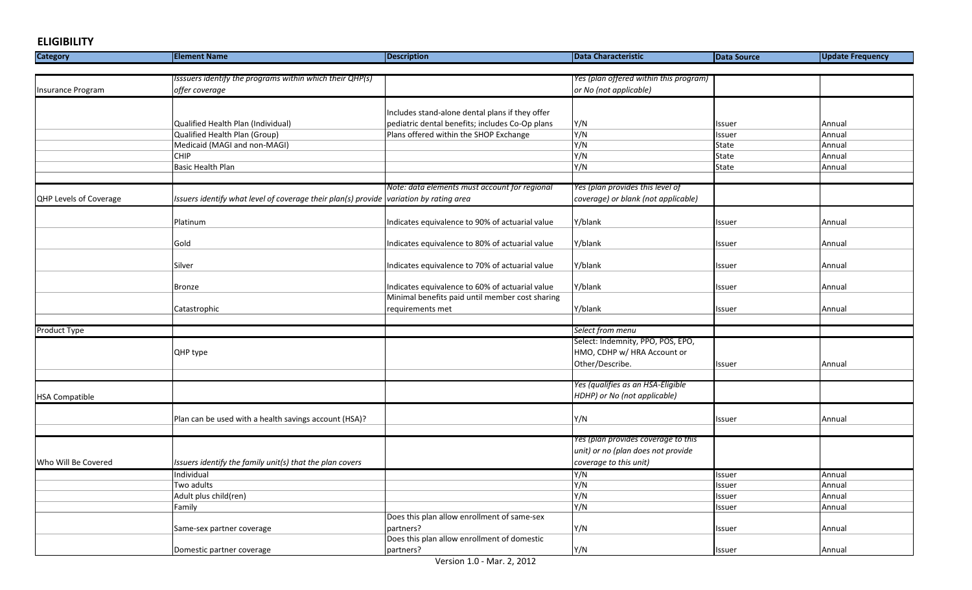## **ELIGIBILITY**

| <b>Category</b>        | <b>Element Name</b>                                                                    | <b>Description</b>                              | <b>Data Characteristic</b>             | <b>Data Source</b> | <b>Update Frequency</b> |
|------------------------|----------------------------------------------------------------------------------------|-------------------------------------------------|----------------------------------------|--------------------|-------------------------|
|                        |                                                                                        |                                                 |                                        |                    |                         |
|                        | Isssuers identify the programs within which their QHP(s)                               |                                                 | Yes (plan offered within this program) |                    |                         |
| Insurance Program      | offer coverage                                                                         |                                                 | or No (not applicable)                 |                    |                         |
|                        |                                                                                        |                                                 |                                        |                    |                         |
|                        |                                                                                        | Includes stand-alone dental plans if they offer |                                        |                    |                         |
|                        | Qualified Health Plan (Individual)                                                     | pediatric dental benefits; includes Co-Op plans | Y/N                                    | Issuer             | Annual                  |
|                        | Qualified Health Plan (Group)                                                          | Plans offered within the SHOP Exchange          | Y/N                                    | Issuer             | Annual                  |
|                        | Medicaid (MAGI and non-MAGI)                                                           |                                                 | Y/N                                    | State              | Annual                  |
|                        | <b>CHIP</b>                                                                            |                                                 | Y/N                                    | State              | Annual                  |
|                        | <b>Basic Health Plan</b>                                                               |                                                 | Y/N                                    | State              | Annual                  |
|                        |                                                                                        |                                                 |                                        |                    |                         |
|                        |                                                                                        | Note: data elements must account for regional   | Yes (plan provides this level of       |                    |                         |
| QHP Levels of Coverage | Issuers identify what level of coverage their plan(s) provide variation by rating area |                                                 | coverage) or blank (not applicable)    |                    |                         |
|                        |                                                                                        |                                                 |                                        |                    |                         |
|                        | Platinum                                                                               | Indicates equivalence to 90% of actuarial value | Y/blank                                | Issuer             | Annual                  |
|                        |                                                                                        |                                                 |                                        |                    |                         |
|                        | Gold                                                                                   | Indicates equivalence to 80% of actuarial value | Y/blank                                | Issuer             | Annual                  |
|                        |                                                                                        |                                                 |                                        |                    |                         |
|                        | Silver                                                                                 | Indicates equivalence to 70% of actuarial value | Y/blank                                | Issuer             | Annual                  |
|                        |                                                                                        |                                                 |                                        |                    |                         |
|                        | <b>Bronze</b>                                                                          | Indicates equivalence to 60% of actuarial value | Y/blank                                | Issuer             | Annual                  |
|                        |                                                                                        | Minimal benefits paid until member cost sharing |                                        |                    |                         |
|                        | Catastrophic                                                                           | requirements met                                | Y/blank                                | Issuer             | Annual                  |
|                        |                                                                                        |                                                 |                                        |                    |                         |
| <b>Product Type</b>    |                                                                                        |                                                 | Select from menu                       |                    |                         |
|                        |                                                                                        |                                                 | Select: Indemnity, PPO, POS, EPO,      |                    |                         |
|                        | QHP type                                                                               |                                                 | HMO, CDHP w/ HRA Account or            |                    |                         |
|                        |                                                                                        |                                                 | Other/Describe.                        | Issuer             | Annual                  |
|                        |                                                                                        |                                                 |                                        |                    |                         |
|                        |                                                                                        |                                                 | Yes (qualifies as an HSA-Eligible      |                    |                         |
| <b>HSA Compatible</b>  |                                                                                        |                                                 | HDHP) or No (not applicable)           |                    |                         |
|                        |                                                                                        |                                                 |                                        |                    |                         |
|                        | Plan can be used with a health savings account (HSA)?                                  |                                                 | Y/N                                    | Issuer             | Annual                  |
|                        |                                                                                        |                                                 |                                        |                    |                         |
|                        |                                                                                        |                                                 | Yes (plan provides coverage to this    |                    |                         |
|                        |                                                                                        |                                                 | unit) or no (plan does not provide     |                    |                         |
| Who Will Be Covered    | Issuers identify the family unit(s) that the plan covers                               |                                                 | coverage to this unit)                 |                    |                         |
|                        | Individual                                                                             |                                                 | Y/N                                    | Issuer             | Annual                  |
|                        | Two adults                                                                             |                                                 | Y/N                                    | Issuer             | Annual                  |
|                        | Adult plus child(ren)                                                                  |                                                 | Y/N                                    | lssuer             | Annual                  |
|                        | Family                                                                                 |                                                 | Y/N                                    | lssuer             | Annual                  |
|                        |                                                                                        | Does this plan allow enrollment of same-sex     |                                        |                    |                         |
|                        | Same-sex partner coverage                                                              | partners?                                       | Y/N                                    | Issuer             | Annual                  |
|                        |                                                                                        | Does this plan allow enrollment of domestic     |                                        |                    |                         |
|                        | Domestic partner coverage                                                              | partners?                                       | Y/N                                    | Issuer             | Annual                  |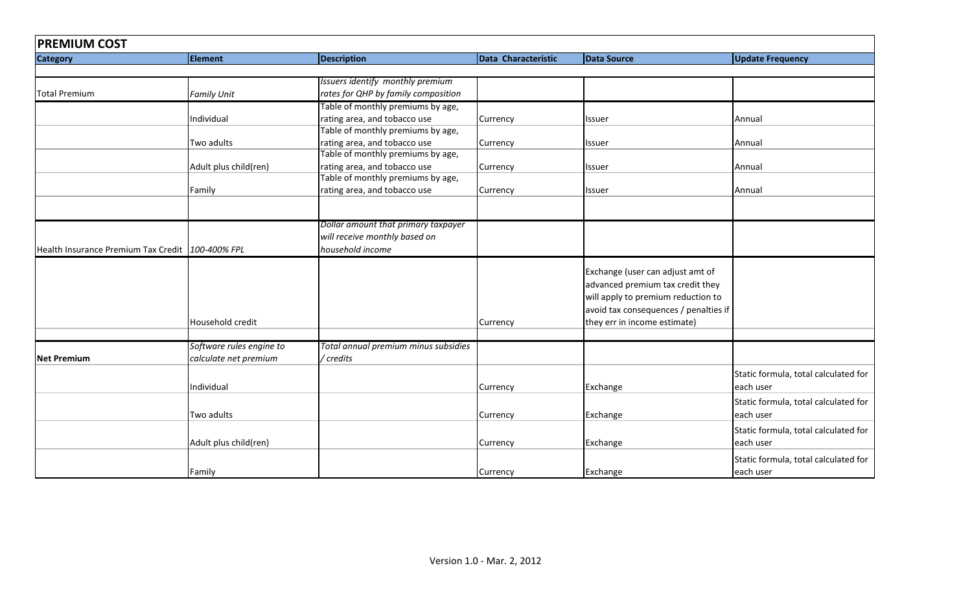| <b>PREMIUM COST</b>                              |                          |                                      |                     |                                       |                                      |  |
|--------------------------------------------------|--------------------------|--------------------------------------|---------------------|---------------------------------------|--------------------------------------|--|
| <b>Category</b>                                  | <b>Element</b>           | <b>Description</b>                   | Data Characteristic | <b>Data Source</b>                    | <b>Update Frequency</b>              |  |
|                                                  |                          |                                      |                     |                                       |                                      |  |
|                                                  |                          | Issuers identify monthly premium     |                     |                                       |                                      |  |
| <b>Total Premium</b>                             | <b>Family Unit</b>       | rates for QHP by family composition  |                     |                                       |                                      |  |
|                                                  |                          | Table of monthly premiums by age,    |                     |                                       |                                      |  |
|                                                  | Individual               | rating area, and tobacco use         | Currency            | Issuer                                | Annual                               |  |
|                                                  |                          | Table of monthly premiums by age,    |                     |                                       |                                      |  |
|                                                  | Two adults               | rating area, and tobacco use         | Currency            | Issuer                                | Annual                               |  |
|                                                  |                          | Table of monthly premiums by age,    |                     |                                       |                                      |  |
|                                                  | Adult plus child(ren)    | rating area, and tobacco use         | Currency            | Issuer                                | Annual                               |  |
|                                                  |                          | Table of monthly premiums by age,    |                     |                                       |                                      |  |
|                                                  | Family                   | rating area, and tobacco use         | Currency            | Issuer                                | Annual                               |  |
|                                                  |                          |                                      |                     |                                       |                                      |  |
|                                                  |                          | Dollar amount that primary taxpayer  |                     |                                       |                                      |  |
|                                                  |                          | will receive monthly based on        |                     |                                       |                                      |  |
| Health Insurance Premium Tax Credit 100-400% FPL |                          | household income                     |                     |                                       |                                      |  |
|                                                  |                          |                                      |                     | Exchange (user can adjust amt of      |                                      |  |
|                                                  |                          |                                      |                     | advanced premium tax credit they      |                                      |  |
|                                                  |                          |                                      |                     | will apply to premium reduction to    |                                      |  |
|                                                  |                          |                                      |                     | avoid tax consequences / penalties if |                                      |  |
|                                                  | Household credit         |                                      | Currency            | they err in income estimate)          |                                      |  |
|                                                  |                          |                                      |                     |                                       |                                      |  |
|                                                  | Software rules engine to | Total annual premium minus subsidies |                     |                                       |                                      |  |
| <b>Net Premium</b>                               | calculate net premium    | / credits                            |                     |                                       |                                      |  |
|                                                  |                          |                                      |                     |                                       | Static formula, total calculated for |  |
|                                                  | Individual               |                                      | Currency            | Exchange                              | each user                            |  |
|                                                  |                          |                                      |                     |                                       | Static formula, total calculated for |  |
|                                                  | Two adults               |                                      | Currency            | Exchange                              | each user                            |  |
|                                                  |                          |                                      |                     |                                       | Static formula, total calculated for |  |
|                                                  | Adult plus child(ren)    |                                      | Currency            | Exchange                              | each user                            |  |
|                                                  |                          |                                      |                     |                                       | Static formula, total calculated for |  |
|                                                  | Family                   |                                      | Currency            | Exchange                              | each user                            |  |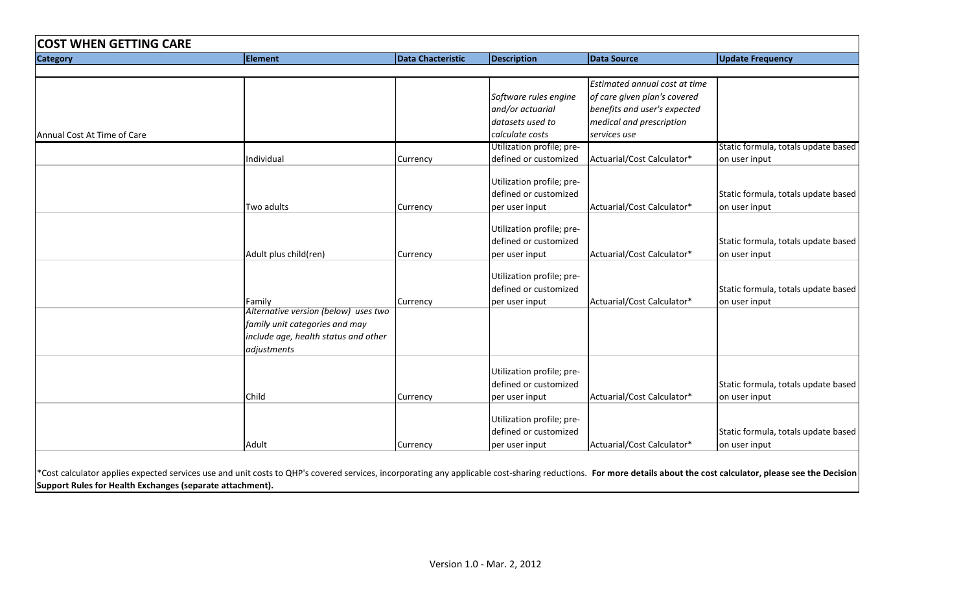| <b>Category</b>             | <b>Element</b>                       | <b>Data Chacteristic</b> | <b>Description</b>        | <b>Data Source</b>            | <b>Update Frequency</b>             |
|-----------------------------|--------------------------------------|--------------------------|---------------------------|-------------------------------|-------------------------------------|
|                             |                                      |                          |                           |                               |                                     |
|                             |                                      |                          |                           | Estimated annual cost at time |                                     |
|                             |                                      |                          | Software rules engine     | of care given plan's covered  |                                     |
|                             |                                      |                          | and/or actuarial          | benefits and user's expected  |                                     |
|                             |                                      |                          | datasets used to          | medical and prescription      |                                     |
| Annual Cost At Time of Care |                                      |                          | calculate costs           | services use                  |                                     |
|                             |                                      |                          | Utilization profile; pre- |                               | Static formula, totals update based |
|                             | Individual                           | Currency                 | defined or customized     | Actuarial/Cost Calculator*    | on user input                       |
|                             |                                      |                          |                           |                               |                                     |
|                             |                                      |                          | Utilization profile; pre- |                               |                                     |
|                             |                                      |                          | defined or customized     |                               | Static formula, totals update based |
|                             | Two adults                           | Currency                 | per user input            | Actuarial/Cost Calculator*    | on user input                       |
|                             |                                      |                          | Utilization profile; pre- |                               |                                     |
|                             |                                      |                          | defined or customized     |                               | Static formula, totals update based |
|                             | Adult plus child(ren)                | Currency                 | per user input            | Actuarial/Cost Calculator*    | on user input                       |
|                             |                                      |                          |                           |                               |                                     |
|                             |                                      |                          | Utilization profile; pre- |                               |                                     |
|                             |                                      |                          | defined or customized     |                               | Static formula, totals update based |
|                             | Family                               | Currency                 | per user input            | Actuarial/Cost Calculator*    | on user input                       |
|                             | Alternative version (below) uses two |                          |                           |                               |                                     |
|                             | family unit categories and may       |                          |                           |                               |                                     |
|                             | include age, health status and other |                          |                           |                               |                                     |
|                             | adjustments                          |                          |                           |                               |                                     |
|                             |                                      |                          |                           |                               |                                     |
|                             |                                      |                          | Utilization profile; pre- |                               |                                     |
|                             |                                      |                          | defined or customized     |                               | Static formula, totals update based |
|                             | Child                                | Currency                 | per user input            | Actuarial/Cost Calculator*    | on user input                       |
|                             |                                      |                          |                           |                               |                                     |
|                             |                                      |                          | Utilization profile; pre- |                               |                                     |
|                             |                                      |                          | defined or customized     |                               | Static formula, totals update based |
|                             | Adult                                | Currency                 | per user input            | Actuarial/Cost Calculator*    | on user input                       |

**Support Rules for Health Exchanges (separate attachment).**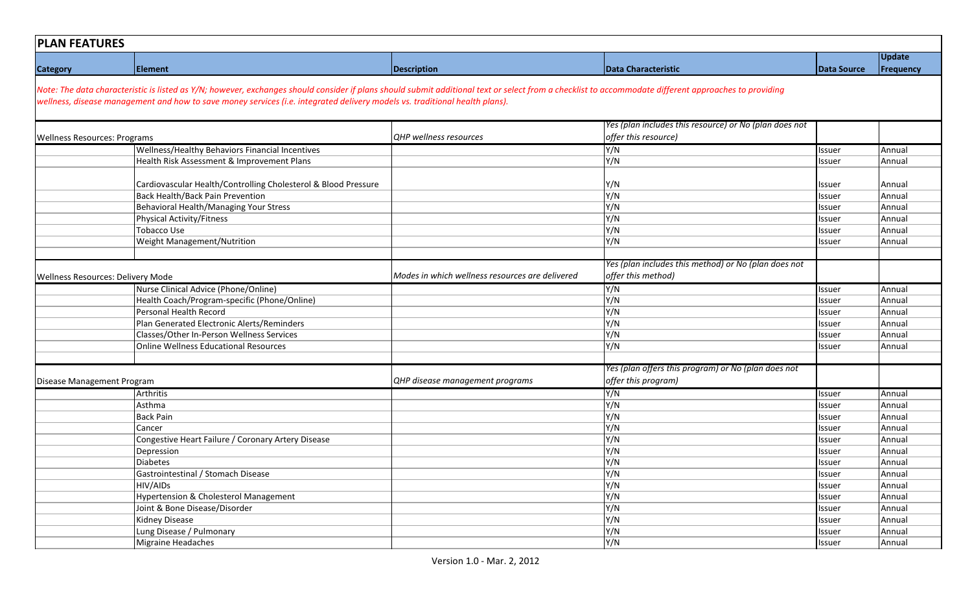| <b>PLAN FEATURES</b>                |                                                                                                                                                                                                                                                                                                                                      |                                                 |                                                                            |                         |                  |
|-------------------------------------|--------------------------------------------------------------------------------------------------------------------------------------------------------------------------------------------------------------------------------------------------------------------------------------------------------------------------------------|-------------------------------------------------|----------------------------------------------------------------------------|-------------------------|------------------|
|                                     |                                                                                                                                                                                                                                                                                                                                      |                                                 |                                                                            |                         | <b>Update</b>    |
| <b>Category</b>                     | <b>Element</b>                                                                                                                                                                                                                                                                                                                       | <b>Description</b>                              | Data Characteristic                                                        | Data Source             | Frequency        |
|                                     | Note: The data characteristic is listed as Y/N; however, exchanges should consider if plans should submit additional text or select from a checklist to accommodate different approaches to providing<br>wellness, disease management and how to save money services (i.e. integrated delivery models vs. traditional health plans). |                                                 |                                                                            |                         |                  |
|                                     |                                                                                                                                                                                                                                                                                                                                      |                                                 | Yes (plan includes this resource) or No (plan does not                     |                         |                  |
| <b>Wellness Resources: Programs</b> |                                                                                                                                                                                                                                                                                                                                      | <b>QHP</b> wellness resources                   | offer this resource)                                                       |                         |                  |
|                                     | Wellness/Healthy Behaviors Financial Incentives                                                                                                                                                                                                                                                                                      |                                                 | Y/N                                                                        | Issuer                  | Annual           |
|                                     | Health Risk Assessment & Improvement Plans                                                                                                                                                                                                                                                                                           |                                                 | Y/N                                                                        | Issuer                  | Annual           |
|                                     | Cardiovascular Health/Controlling Cholesterol & Blood Pressure<br>Back Health/Back Pain Prevention                                                                                                                                                                                                                                   |                                                 | Y/N<br>Y/N                                                                 | Issuer<br>Issuer        | Annual<br>Annual |
|                                     | Behavioral Health/Managing Your Stress                                                                                                                                                                                                                                                                                               |                                                 | Y/N                                                                        | Issuer                  | Annual           |
|                                     | <b>Physical Activity/Fitness</b>                                                                                                                                                                                                                                                                                                     |                                                 | Y/N                                                                        | Issuer                  | Annual           |
|                                     | Tobacco Use                                                                                                                                                                                                                                                                                                                          |                                                 | Y/N                                                                        | Issuer                  | Annual           |
|                                     | Weight Management/Nutrition                                                                                                                                                                                                                                                                                                          |                                                 | Y/N                                                                        | Issuer                  | Annual           |
|                                     |                                                                                                                                                                                                                                                                                                                                      |                                                 |                                                                            |                         |                  |
|                                     |                                                                                                                                                                                                                                                                                                                                      |                                                 | Yes (plan includes this method) or No (plan does not                       |                         |                  |
| Wellness Resources: Delivery Mode   |                                                                                                                                                                                                                                                                                                                                      | Modes in which wellness resources are delivered | offer this method)                                                         |                         |                  |
|                                     | Nurse Clinical Advice (Phone/Online)                                                                                                                                                                                                                                                                                                 |                                                 | Y/N                                                                        | Issuer                  | Annual           |
|                                     | Health Coach/Program-specific (Phone/Online)                                                                                                                                                                                                                                                                                         |                                                 | Y/N                                                                        | lssuer                  | Annual           |
|                                     | Personal Health Record                                                                                                                                                                                                                                                                                                               |                                                 | Y/N                                                                        | Issuer                  | Annual           |
|                                     | Plan Generated Electronic Alerts/Reminders                                                                                                                                                                                                                                                                                           |                                                 | Y/N                                                                        | Issuer                  | Annual           |
|                                     | Classes/Other In-Person Wellness Services                                                                                                                                                                                                                                                                                            |                                                 | Y/N                                                                        | Issuer                  | Annual           |
|                                     | <b>Online Wellness Educational Resources</b>                                                                                                                                                                                                                                                                                         |                                                 | Y/N                                                                        | Issuer                  | Annual           |
|                                     |                                                                                                                                                                                                                                                                                                                                      |                                                 |                                                                            |                         |                  |
| Disease Management Program          |                                                                                                                                                                                                                                                                                                                                      | QHP disease management programs                 | Yes (plan offers this program) or No (plan does not<br>offer this program) |                         |                  |
|                                     | Arthritis                                                                                                                                                                                                                                                                                                                            |                                                 | Y/N                                                                        | Issuer                  | Annual           |
|                                     | Asthma                                                                                                                                                                                                                                                                                                                               |                                                 | Y/N                                                                        | lssuer                  | Annual           |
|                                     | <b>Back Pain</b>                                                                                                                                                                                                                                                                                                                     |                                                 | Y/N                                                                        | Issuer                  | Annual           |
|                                     | Cancer                                                                                                                                                                                                                                                                                                                               |                                                 | Y/N                                                                        | Issuer                  | Annual           |
|                                     | Congestive Heart Failure / Coronary Artery Disease                                                                                                                                                                                                                                                                                   |                                                 | Y/N                                                                        | Issuer                  | Annual           |
|                                     | Depression<br><b>Diabetes</b>                                                                                                                                                                                                                                                                                                        |                                                 | Y/N<br>Y/N                                                                 | lssuer                  | Annual<br>Annual |
|                                     | Gastrointestinal / Stomach Disease                                                                                                                                                                                                                                                                                                   |                                                 | Y/N                                                                        | <b>Issuer</b><br>Issuer | Annual           |
|                                     | HIV/AIDs                                                                                                                                                                                                                                                                                                                             |                                                 | Y/N                                                                        | Issuer                  | Annual           |
|                                     | <b>Hypertension &amp; Cholesterol Management</b>                                                                                                                                                                                                                                                                                     |                                                 | Y/N                                                                        | Issuer                  | Annual           |
|                                     | Joint & Bone Disease/Disorder                                                                                                                                                                                                                                                                                                        |                                                 | Y/N                                                                        | Issuer                  | Annual           |
|                                     | Kidney Disease                                                                                                                                                                                                                                                                                                                       |                                                 | Y/N                                                                        | Issuer                  | Annual           |
|                                     | Lung Disease / Pulmonary                                                                                                                                                                                                                                                                                                             |                                                 | $\overline{Y/N}$                                                           | Issuer                  | Annual           |
|                                     | <b>Migraine Headaches</b>                                                                                                                                                                                                                                                                                                            |                                                 | Y/N                                                                        | Issuer                  | Annual           |
|                                     |                                                                                                                                                                                                                                                                                                                                      |                                                 |                                                                            |                         |                  |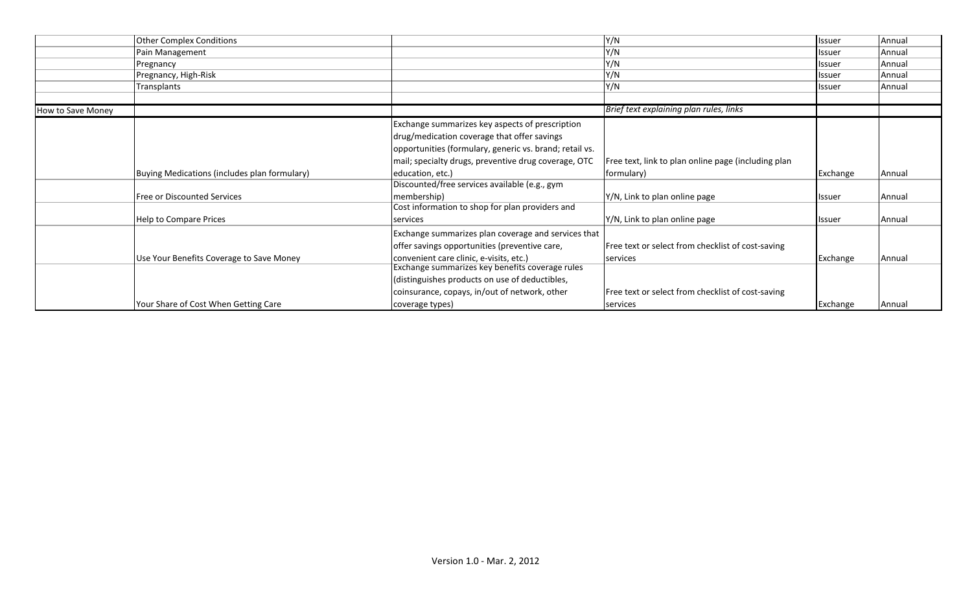|                   | <b>Other Complex Conditions</b>              |                                                         | Y/N                                                 | <b>Issuer</b>  | Annual        |
|-------------------|----------------------------------------------|---------------------------------------------------------|-----------------------------------------------------|----------------|---------------|
|                   | Pain Management                              |                                                         | Y/N                                                 | <b>Ilssuer</b> | Annual        |
|                   | Pregnancy                                    |                                                         | Y/N                                                 | <b>I</b> ssuer | Annual        |
|                   | Pregnancy, High-Risk                         |                                                         | Y/N                                                 | <b>Issuer</b>  | Annual        |
|                   | Transplants                                  |                                                         | Y/N                                                 | <b>Issuer</b>  | <b>Annual</b> |
|                   |                                              |                                                         |                                                     |                |               |
| How to Save Money |                                              |                                                         | Brief text explaining plan rules, links             |                |               |
|                   |                                              | Exchange summarizes key aspects of prescription         |                                                     |                |               |
|                   |                                              | drug/medication coverage that offer savings             |                                                     |                |               |
|                   |                                              | opportunities (formulary, generic vs. brand; retail vs. |                                                     |                |               |
|                   |                                              | mail; specialty drugs, preventive drug coverage, OTC    | Free text, link to plan online page (including plan |                |               |
|                   | Buying Medications (includes plan formulary) | education, etc.)                                        | formulary)                                          | Exchange       | Annual        |
|                   |                                              | Discounted/free services available (e.g., gym           |                                                     |                |               |
|                   | <b>Free or Discounted Services</b>           | membership)                                             | Y/N, Link to plan online page                       | <b>Issuer</b>  | Annual        |
|                   |                                              | Cost information to shop for plan providers and         |                                                     |                |               |
|                   | Help to Compare Prices                       | services                                                | Y/N, Link to plan online page                       | <b>Issuer</b>  | Annual        |
|                   |                                              | Exchange summarizes plan coverage and services that     |                                                     |                |               |
|                   |                                              | offer savings opportunities (preventive care,           | Free text or select from checklist of cost-saving   |                |               |
|                   | Use Your Benefits Coverage to Save Money     | convenient care clinic, e-visits, etc.)                 | services                                            | Exchange       | Annual        |
|                   |                                              | Exchange summarizes key benefits coverage rules         |                                                     |                |               |
|                   |                                              | (distinguishes products on use of deductibles,          |                                                     |                |               |
|                   |                                              | coinsurance, copays, in/out of network, other           | Free text or select from checklist of cost-saving   |                |               |
|                   | Your Share of Cost When Getting Care         | coverage types)                                         | services                                            | Exchange       | Annual        |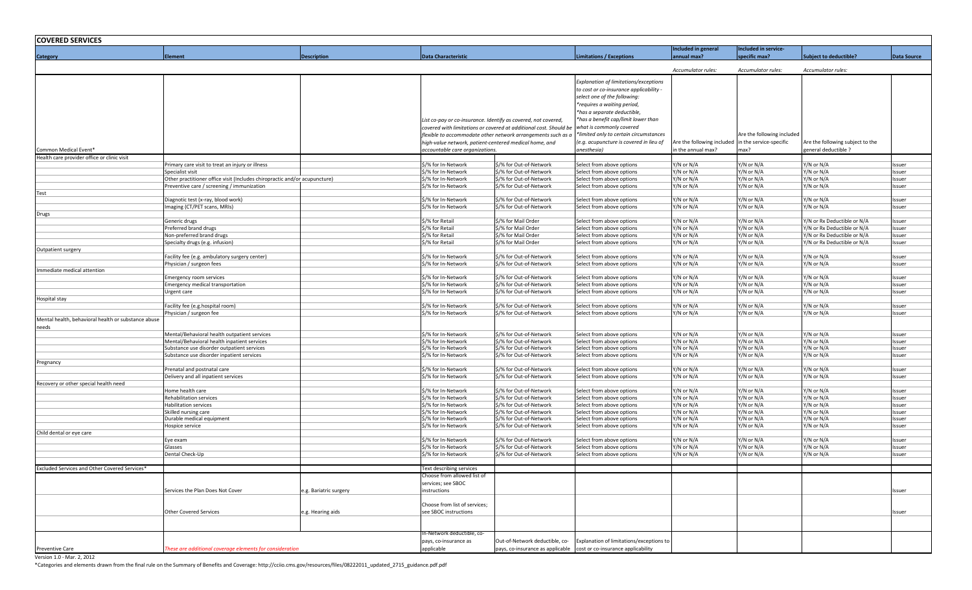| <b>COVERED SERVICES</b>                             |                                                                                                |                       |                                                                |                                                                   |                                                        |                                                    |                            |                                  |                    |
|-----------------------------------------------------|------------------------------------------------------------------------------------------------|-----------------------|----------------------------------------------------------------|-------------------------------------------------------------------|--------------------------------------------------------|----------------------------------------------------|----------------------------|----------------------------------|--------------------|
|                                                     |                                                                                                |                       |                                                                |                                                                   |                                                        | Included in general                                | Included in service-       |                                  |                    |
| <b>Category</b>                                     | <b>Element</b>                                                                                 | <b>Description</b>    | <b>Data Characteristic</b>                                     |                                                                   | <b>Limitations / Exceptions</b>                        | <b>Sxemual</b> max?                                | pecific max?               | <b>Subject to deductible?</b>    | <b>Data Source</b> |
|                                                     |                                                                                                |                       |                                                                |                                                                   |                                                        | Accumulator rules:                                 | Accumulator rules:         | Accumulator rules:               |                    |
|                                                     |                                                                                                |                       |                                                                |                                                                   |                                                        |                                                    |                            |                                  |                    |
|                                                     |                                                                                                |                       |                                                                |                                                                   | Explanation of limitations/exceptions                  |                                                    |                            |                                  |                    |
|                                                     |                                                                                                |                       |                                                                |                                                                   | to cost or co-insurance applicability -                |                                                    |                            |                                  |                    |
|                                                     |                                                                                                |                       |                                                                |                                                                   | select one of the following:                           |                                                    |                            |                                  |                    |
|                                                     |                                                                                                |                       |                                                                |                                                                   | *requires a waiting period,                            |                                                    |                            |                                  |                    |
|                                                     |                                                                                                |                       |                                                                |                                                                   | *has a separate deductible,                            |                                                    |                            |                                  |                    |
|                                                     |                                                                                                |                       | List co-pay or co-insurance. Identify as covered, not covered, |                                                                   | *has a benefit cap/limit lower than                    |                                                    |                            |                                  |                    |
|                                                     |                                                                                                |                       |                                                                | covered with limitations or covered at additional cost. Should be | what is commonly covered                               |                                                    |                            |                                  |                    |
|                                                     |                                                                                                |                       |                                                                | flexible to accommodate other network arrangements such as a      | *limited only to certain circumstances                 |                                                    | Are the following included |                                  |                    |
|                                                     |                                                                                                |                       | high-value network, patient-centered medical home, and         |                                                                   | (e.g. acupuncture is covered in lieu of                | Are the following included in the service-specific |                            | Are the following subject to the |                    |
| Common Medical Event*                               |                                                                                                |                       | accountable care organizations.                                |                                                                   | anesthesia)                                            | n the annual max?                                  | max?                       | general deductible ?             |                    |
| Health care provider office or clinic visit         |                                                                                                |                       |                                                                |                                                                   |                                                        |                                                    |                            |                                  |                    |
|                                                     | Primary care visit to treat an injury or illness                                               |                       | \$/% for In-Network                                            | \$/% for Out-of-Network                                           | Select from above options<br>Select from above options | //N or N/A                                         | Y/N or N/A                 | Y/N or N/A                       | Issuer             |
|                                                     | Specialist visit<br>Other practitioner office visit (Includes chiropractic and/or acupuncture) |                       | \$/% for In-Network<br>\$/% for In-Network                     | \$/% for Out-of-Network<br>\$/% for Out-of-Network                | Select from above options                              | /N or N/A<br>//N or N/A                            | Y/N or N/A<br>Y/N or N/A   | Y/N or N/A<br>Y/N or N/A         | Issuer             |
|                                                     | Preventive care / screening / immunization                                                     |                       | \$/% for In-Network                                            | \$/% for Out-of-Network                                           | Select from above options                              | //N or N/A                                         | Y/N or N/A                 | Y/N or N/A                       | Issuer<br>Issuer   |
| Test                                                |                                                                                                |                       |                                                                |                                                                   |                                                        |                                                    |                            |                                  |                    |
|                                                     | Diagnotic test (x-ray, blood work)                                                             |                       | \$/% for In-Network                                            | \$/% for Out-of-Network                                           | Select from above options                              | //N or N/A                                         | Y/N or N/A                 | Y/N or N/A                       | Issuer             |
|                                                     | Imaging (CT/PET scans, MRIs)                                                                   |                       | \$/% for In-Network                                            | 3/% for Out-of-Network                                            | Select from above options                              | //N or N/A                                         | Y/N or N/A                 | Y/N or N/A                       | ssuer              |
| Drugs                                               |                                                                                                |                       |                                                                |                                                                   |                                                        |                                                    |                            |                                  |                    |
|                                                     | Generic drugs                                                                                  |                       | \$/% for Retail                                                | \$/% for Mail Order                                               | Select from above options                              | '/N or N/A                                         | Y/N or N/A                 | Y/N or Rx Deductible or N/A      | Issuer             |
|                                                     | Preferred brand drugs                                                                          |                       | \$/% for Retail                                                | \$/% for Mail Order                                               | Select from above options                              | /N or N/A                                          | Y/N or N/A                 | Y/N or Rx Deductible or N/A      | Issuer             |
|                                                     | Non-preferred brand drugs                                                                      |                       | \$/% for Retail                                                | \$/% for Mail Order                                               | Select from above options                              | $\sqrt{N}$ or N/A                                  | Y/N or N/A                 | Y/N or Rx Deductible or N/A      | Issuer             |
|                                                     | Specialty drugs (e.g. infusion)                                                                |                       | \$/% for Retail                                                | \$/% for Mail Order                                               | Select from above options                              | //N or N/A                                         | Y/N or N/A                 | Y/N or Rx Deductible or N/A      | Issuer             |
| Outpatient surgery                                  |                                                                                                |                       | \$/% for In-Network                                            | \$/% for Out-of-Network                                           | Select from above options                              | //N or N/A                                         | Y/N or N/A                 | Y/N or N/A                       | Issuer             |
|                                                     | Facility fee (e.g. ambulatory surgery center)<br>Physician / surgeon fees                      |                       | \$/% for In-Network                                            | \$/% for Out-of-Network                                           | Select from above options                              | //N or N/A                                         | Y/N or N/A                 | Y/N or N/A                       | Issuer             |
| Immediate medical attention                         |                                                                                                |                       |                                                                |                                                                   |                                                        |                                                    |                            |                                  |                    |
|                                                     | Emergency room services                                                                        |                       | \$/% for In-Network                                            | \$/% for Out-of-Network                                           | Select from above options                              | //N or N/A                                         | Y/N or N/A                 | Y/N or N/A                       | Issuer             |
|                                                     | Emergency medical transportation                                                               |                       | \$/% for In-Network                                            | \$/% for Out-of-Network                                           | Select from above options                              | //N or N/A                                         | Y/N or N/A                 | Y/N or N/A                       | Issuer             |
|                                                     | Urgent care                                                                                    |                       | \$/% for In-Network                                            | \$/% for Out-of-Network                                           | Select from above options                              | //N or N/A                                         | Y/N or N/A                 | Y/N or N/A                       | Issuer             |
| Hospital stay                                       |                                                                                                |                       |                                                                |                                                                   |                                                        |                                                    |                            |                                  |                    |
|                                                     | Facility fee (e.g.hospital room)                                                               |                       | \$/% for In-Network                                            | ›/% for Out-of-Network                                            | Select from above options                              | //N or N/A                                         | Y/N or N/A                 | Y/N or N/A                       | Issuer             |
|                                                     | Physician / surgeon fee                                                                        |                       | \$/% for In-Network                                            | \$/% for Out-of-Network                                           | Select from above options                              | Y/N or N/A                                         | Y/N or N/A                 | Y/N or N/A                       | Issuer             |
| Mental health, behavioral health or substance abuse |                                                                                                |                       |                                                                |                                                                   |                                                        |                                                    |                            |                                  |                    |
| needs                                               |                                                                                                |                       | \$/% for In-Network                                            |                                                                   |                                                        |                                                    | Y/N or N/A                 | Y/N or N/A                       |                    |
|                                                     | Mental/Behavioral health outpatient services<br>Mental/Behavioral health inpatient services    |                       | \$/% for In-Network                                            | \$/% for Out-of-Network<br>\$/% for Out-of-Network                | Select from above options<br>Select from above options | //N or N/A<br>/N or N/A                            | Y/N or N/A                 | Y/N or N/A                       | Issuer<br>Issuer   |
|                                                     | Substance use disorder outpatient services                                                     |                       | \$/% for In-Network                                            | \$/% for Out-of-Network                                           | Select from above options                              | //N or N/A                                         | Y/N or N/A                 | Y/N or N/A                       | Issuer             |
|                                                     | Substance use disorder inpatient services                                                      |                       | \$/% for In-Network                                            | \$/% for Out-of-Network                                           | Select from above options                              | //N or N/A                                         | Y/N or N/A                 | Y/N or N/A                       | Issuer             |
| Pregnancy                                           |                                                                                                |                       |                                                                |                                                                   |                                                        |                                                    |                            |                                  |                    |
|                                                     | Prenatal and postnatal care                                                                    |                       | \$/% for In-Network                                            | አ/% for Out-of-Network                                            | Select from above options                              | //N or N/A                                         | Y/N or N/A                 | Y/N or N/A                       | Issuer             |
|                                                     | Delivery and all inpatient services                                                            |                       | \$/% for In-Network                                            | \$/% for Out-of-Network                                           | Select from above options                              | //N or N/A                                         | Y/N or N/A                 | Y/N or N/A                       | Issuer             |
| Recovery or other special health need               |                                                                                                |                       |                                                                |                                                                   |                                                        |                                                    |                            |                                  |                    |
|                                                     | Home health care                                                                               |                       | \$/% for In-Network                                            | \$/% for Out-of-Network                                           | Select from above options                              | //N or N/A                                         | Y/N or N/A                 | Y/N or N/A                       | Issuer             |
|                                                     | Rehabilitation services                                                                        |                       | \$/% for In-Network                                            | % for Out-of-Network                                              | Select from above options                              | '/N or N/A                                         | Y/N or N/A                 | Y/N or N/A                       | Issuer             |
|                                                     | Habilitation services                                                                          |                       | \$/% for In-Network                                            | \$/% for Out-of-Network                                           | Select from above options                              | /N or N/A                                          | Y/N or N/A                 | Y/N or N/A                       | Issuer             |
|                                                     | Skilled nursing care                                                                           |                       | \$/% for In-Network                                            | \$/% for Out-of-Network                                           | Select from above options                              | //N or N/A                                         | Y/N or N/A                 | Y/N or N/A                       | Issuer             |
|                                                     | Durable medical equipment<br>Hospice service                                                   |                       | \$/% for In-Network<br>\$/% for In-Network                     | \$/% for Out-of-Network<br>\$/% for Out-of-Network                | Select from above options<br>Select from above options | /N or N/A<br>//N or N/A                            | Y/N or N/A<br>Y/N or N/A   | Y/N or N/A<br>Y/N or N/A         | Issuer<br>Issuer   |
| Child dental or eye care                            |                                                                                                |                       |                                                                |                                                                   |                                                        |                                                    |                            |                                  |                    |
|                                                     | Eye exam                                                                                       |                       | \$/% for In-Network                                            | \$/% for Out-of-Network                                           | Select from above options                              | '/N or N/A                                         | Y/N or N/A                 | Y/N or N/A                       | Issuer             |
|                                                     | Glasses                                                                                        |                       | \$/% for In-Network                                            | \$/% for Out-of-Network                                           | Select from above options                              | '/N or N/A                                         | Y/N or N/A                 | Y/N or N/A                       | Issuer             |
|                                                     | Dental Check-Up                                                                                |                       | \$/% for In-Network                                            | \$/% for Out-of-Network                                           | Select from above options                              | '/N or N/A                                         | Y/N or N/A                 | Y/N or N/A                       | Issuer             |
|                                                     |                                                                                                |                       |                                                                |                                                                   |                                                        |                                                    |                            |                                  |                    |
| Excluded Services and Other Covered Services        |                                                                                                |                       | Text describing services                                       |                                                                   |                                                        |                                                    |                            |                                  |                    |
|                                                     |                                                                                                |                       | Choose from allowed list of                                    |                                                                   |                                                        |                                                    |                            |                                  |                    |
|                                                     |                                                                                                |                       | services; see SBOC                                             |                                                                   |                                                        |                                                    |                            |                                  |                    |
|                                                     | Services the Plan Does Not Cover                                                               | g. Bariatric surgery. | instructions                                                   |                                                                   |                                                        |                                                    |                            |                                  | ssuer              |
|                                                     |                                                                                                |                       |                                                                |                                                                   |                                                        |                                                    |                            |                                  |                    |
|                                                     |                                                                                                |                       | Choose from list of services;<br>see SBOC instructions         |                                                                   |                                                        |                                                    |                            |                                  |                    |
|                                                     | <b>Other Covered Services</b>                                                                  | e.g. Hearing aids     |                                                                |                                                                   |                                                        |                                                    |                            |                                  | ssuer              |
|                                                     |                                                                                                |                       |                                                                |                                                                   |                                                        |                                                    |                            |                                  |                    |
|                                                     |                                                                                                |                       | In-Network deductible, co-                                     |                                                                   |                                                        |                                                    |                            |                                  |                    |
|                                                     |                                                                                                |                       | pays, co-insurance as                                          | Out-of-Network deductible, co-                                    | Explanation of limitations/exceptions to               |                                                    |                            |                                  |                    |
| <b>Preventive Care</b>                              | These are additional coverage elements for consideration                                       |                       | applicable                                                     | pays, co-insurance as applicable                                  | cost or co-insurance applicability                     |                                                    |                            |                                  |                    |
|                                                     |                                                                                                |                       |                                                                |                                                                   |                                                        |                                                    |                            |                                  |                    |

Version 1.0 - Mar. 2, 2012

\*Categories and elements drawn from the final rule on the Summary of Benefits and Coverage: http://cciio.cms.gov/resources/files/08222011\_updated\_2715\_guidance.pdf.pdf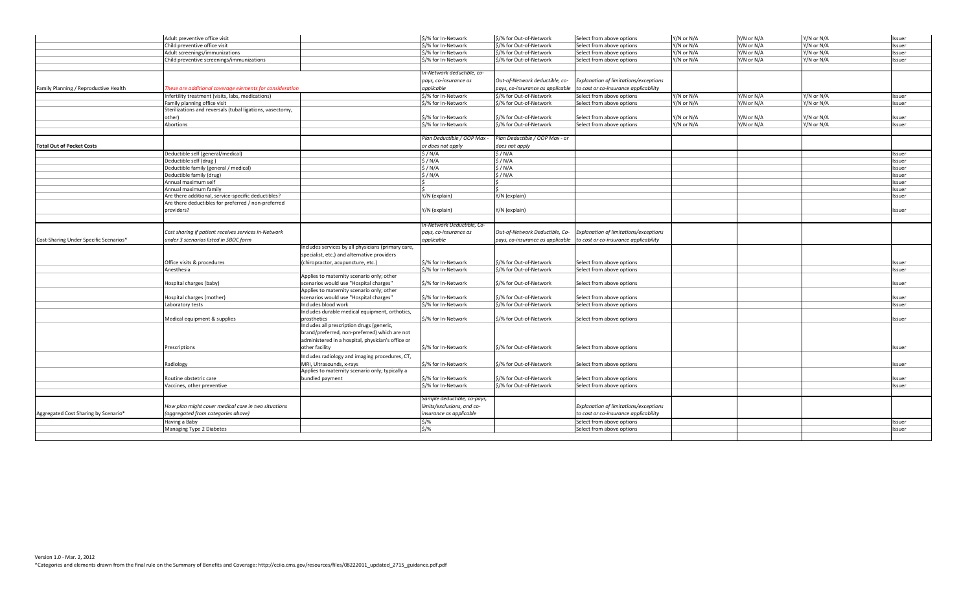|                                        | Adult preventive office visit                             |                                                   | \$/% for In-Network         | \$/% for Out-of-Network          | Select from above options             | Y/N or N/A           | Y/N or N/A           | Y/N or N/A | Issuer           |
|----------------------------------------|-----------------------------------------------------------|---------------------------------------------------|-----------------------------|----------------------------------|---------------------------------------|----------------------|----------------------|------------|------------------|
|                                        | Child preventive office visit                             |                                                   | \$/% for In-Network         | \$/% for Out-of-Network          | Select from above options             | //N or N/A           | $\frac{7}{N}$ or N/A | Y/N or N/A | Issuer           |
|                                        | Adult screenings/immunizations                            |                                                   | \$/% for In-Network         | \$/% for Out-of-Network          | Select from above options             | //N or N/A           | //N or N/A           | Y/N or N/A | Issuer           |
|                                        | Child preventive screenings/immunizations                 |                                                   | \$/% for In-Network         | \$/% for Out-of-Network          | Select from above options             | $\frac{7}{N}$ or N/A | $\frac{7}{N}$ or N/A | Y/N or N/A | Issuer           |
|                                        |                                                           |                                                   |                             |                                  |                                       |                      |                      |            |                  |
|                                        |                                                           |                                                   | In-Network deductible, co-  |                                  |                                       |                      |                      |            |                  |
|                                        |                                                           |                                                   | pays, co-insurance as       | Out-of-Network deductible, co-   | Explanation of limitations/exceptions |                      |                      |            |                  |
| Family Planning / Reproductive Health  | hese are additional coverage elements for consideration   |                                                   | applicable                  | pays, co-insurance as applicable | to cost or co-insurance applicability |                      |                      |            |                  |
|                                        | Infertility treatment (visits, labs, medications)         |                                                   | \$/% for In-Network         | \$/% for Out-of-Network          | Select from above options             | //N or N/A           | //N or N/A           | Y/N or N/A | Issuer           |
|                                        | Family planning office visit                              |                                                   | \$/% for In-Network         | \$/% for Out-of-Network          | Select from above options             | //N or N/A           | //N or N/A           | Y/N or N/A | Issuer           |
|                                        | Sterilizations and reversals (tubal ligations, vasectomy, |                                                   |                             |                                  |                                       |                      |                      |            |                  |
|                                        | other)                                                    |                                                   | \$/% for In-Network         | \$/% for Out-of-Network          | Select from above options             | //N or N/A           | //N or N/A           | Y/N or N/A | Issuer           |
|                                        | Abortions                                                 |                                                   | \$/% for In-Network         | \$/% for Out-of-Network          | Select from above options             | //N or N/A           | //N or N/A           | Y/N or N/A | Issuer           |
|                                        |                                                           |                                                   | Plan Deductible / OOP Max · | Plan Deductible / OOP Max - or   |                                       |                      |                      |            |                  |
| <b>Total Out of Pocket Costs</b>       |                                                           |                                                   |                             |                                  |                                       |                      |                      |            |                  |
|                                        |                                                           |                                                   | or does not apply           | does not apply                   |                                       |                      |                      |            |                  |
|                                        | Deductible self (general/medical)                         |                                                   | \$/N/A                      | $\sqrt{N/A}$                     |                                       |                      |                      |            | Issuer           |
|                                        | Deductible self (drug)                                    |                                                   | \$/N/A<br>S/N/A             | \$/N/A<br>5/N/A                  |                                       |                      |                      |            | Issuer           |
|                                        | Deductible family (general / medical)                     |                                                   | S/N/A                       | \$/N/A                           |                                       |                      |                      |            | Issuer           |
|                                        | Deductible family (drug)<br>Annual maximum self           |                                                   |                             |                                  |                                       |                      |                      |            | Issuer<br>Issuer |
|                                        | Annual maximum family                                     |                                                   |                             |                                  |                                       |                      |                      |            | Issuer           |
|                                        | Are there additional, service-specific deductibles?       |                                                   | Y/N (explain)               | Y/N (explain)                    |                                       |                      |                      |            | Issuer           |
|                                        | Are there deductibles for preferred / non-preferred       |                                                   |                             |                                  |                                       |                      |                      |            |                  |
|                                        | providers?                                                |                                                   | Y/N (explain)               | Y/N (explain)                    |                                       |                      |                      |            | Issuer           |
|                                        |                                                           |                                                   |                             |                                  |                                       |                      |                      |            |                  |
|                                        |                                                           |                                                   | 'n-Network Deductible, Co-  |                                  |                                       |                      |                      |            |                  |
|                                        | Cost sharing if patient receives services in-Network      |                                                   | pays, co-insurance as       | Out-of-Network Deductible, Co-   | Explanation of limitations/exceptions |                      |                      |            |                  |
| Cost-Sharing Under Specific Scenarios* | under 3 scenarios listed in SBOC form                     |                                                   | applicable                  | pays, co-insurance as applicable | to cost or co-insurance applicability |                      |                      |            |                  |
|                                        |                                                           | ncludes services by all physicians (primary care, |                             |                                  |                                       |                      |                      |            |                  |
|                                        |                                                           | specialist, etc.) and alternative providers       |                             |                                  |                                       |                      |                      |            |                  |
|                                        | Office visits & procedures                                | (chiropractor, acupuncture, etc.)                 | \$/% for In-Network         | \$/% for Out-of-Network          | Select from above options             |                      |                      |            | Issuer           |
|                                        | Anesthesia                                                |                                                   | \$/% for In-Network         | \$/% for Out-of-Network          | Select from above options             |                      |                      |            | Issuer           |
|                                        |                                                           | Applies to maternity scenario only; other         |                             |                                  |                                       |                      |                      |            |                  |
|                                        | Hospital charges (baby)                                   | scenarios would use "Hospital charges"            | \$/% for In-Network         | \$/% for Out-of-Network          | Select from above options             |                      |                      |            | Issuer           |
|                                        |                                                           | Applies to maternity scenario only; other         |                             |                                  |                                       |                      |                      |            |                  |
|                                        | Hospital charges (mother)                                 | scenarios would use "Hospital charges"            | \$/% for In-Network         | \$/% for Out-of-Network          | Select from above options             |                      |                      |            | Issuer           |
|                                        | Laboratory tests                                          | Includes blood work                               | \$/% for In-Network         | \$/% for Out-of-Network          | Select from above options             |                      |                      |            | Issuer           |
|                                        |                                                           | Includes durable medical equipment, orthotics,    |                             |                                  |                                       |                      |                      |            |                  |
|                                        | Medical equipment & supplies                              | prosthetics                                       | \$/% for In-Network         | \$/% for Out-of-Network          | Select from above options             |                      |                      |            | Issuer           |
|                                        |                                                           | ncludes all prescription drugs (generic,          |                             |                                  |                                       |                      |                      |            |                  |
|                                        |                                                           | brand/preferred, non-preferred) which are not     |                             |                                  |                                       |                      |                      |            |                  |
|                                        |                                                           | administered in a hospital, physician's office or |                             |                                  |                                       |                      |                      |            |                  |
|                                        | Prescriptions                                             | other facility                                    | \$/% for In-Network         | \$/% for Out-of-Network          | Select from above options             |                      |                      |            | Issuer           |
|                                        |                                                           | Includes radiology and imaging procedures, CT,    |                             |                                  |                                       |                      |                      |            |                  |
|                                        | Radiology                                                 | MRI, Ultrasounds, x-rays                          | \$/% for In-Network         | \$/% for Out-of-Network          | Select from above options             |                      |                      |            | Issuer           |
|                                        |                                                           | Applies to maternity scenario only; typically a   |                             |                                  |                                       |                      |                      |            |                  |
|                                        | Routine obstetric care                                    | bundled payment                                   | \$/% for In-Network         | \$/% for Out-of-Network          | Select from above options             |                      |                      |            | Issuer           |
|                                        | Vaccines, other preventive                                |                                                   | \$/% for In-Network         | \$/% for Out-of-Network          | Select from above options             |                      |                      |            | Issuer           |
|                                        |                                                           |                                                   |                             |                                  |                                       |                      |                      |            |                  |
|                                        |                                                           |                                                   | Sample deductible, co-pays, |                                  |                                       |                      |                      |            |                  |
|                                        | How plan might cover medical care in two situations       |                                                   | limits/exclusions, and co-  |                                  | Explanation of limitations/exceptions |                      |                      |            |                  |
| Aggregated Cost Sharing by Scenario*   | (aggregated from categories above)                        |                                                   | insurance as applicable     |                                  | to cost or co-insurance applicability |                      |                      |            |                  |
|                                        | Having a Baby                                             |                                                   | \$1%                        |                                  | Select from above options             |                      |                      |            | Issuer           |
|                                        | Managing Type 2 Diabetes                                  |                                                   | $5/$ %                      |                                  | Select from above options             |                      |                      |            | Issuer           |
|                                        |                                                           |                                                   |                             |                                  |                                       |                      |                      |            |                  |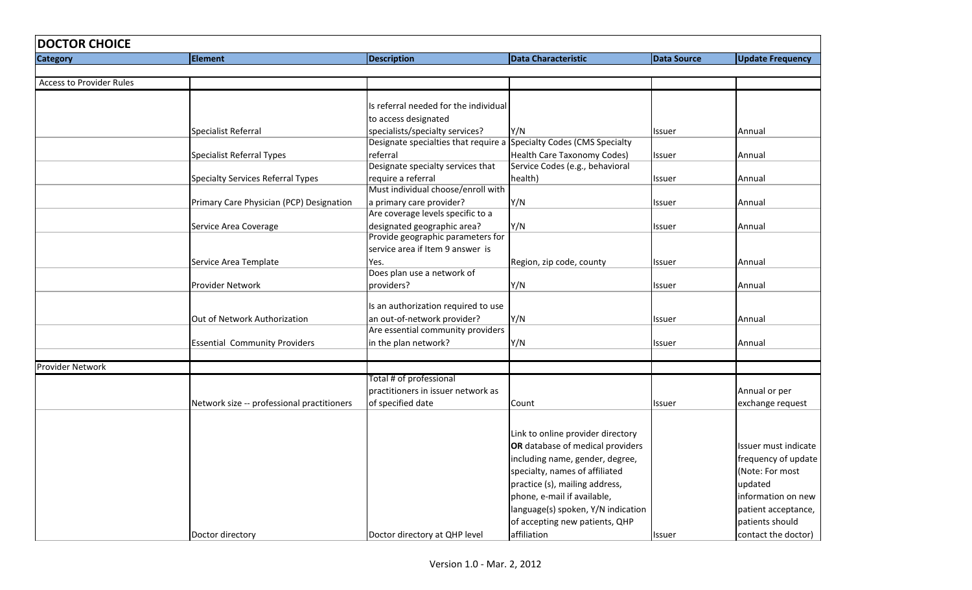| <b>DOCTOR CHOICE</b>            |                                            |                                                                     |                                    |                    |                         |
|---------------------------------|--------------------------------------------|---------------------------------------------------------------------|------------------------------------|--------------------|-------------------------|
| <b>Category</b>                 | <b>Element</b>                             | <b>Description</b>                                                  | <b>Data Characteristic</b>         | <b>Data Source</b> | <b>Update Frequency</b> |
|                                 |                                            |                                                                     |                                    |                    |                         |
| <b>Access to Provider Rules</b> |                                            |                                                                     |                                    |                    |                         |
|                                 |                                            |                                                                     |                                    |                    |                         |
|                                 |                                            | Is referral needed for the individual                               |                                    |                    |                         |
|                                 |                                            | to access designated                                                |                                    |                    |                         |
|                                 | <b>Specialist Referral</b>                 | specialists/specialty services?                                     | Y/N                                | Issuer             | Annual                  |
|                                 |                                            | Designate specialties that require a Specialty Codes (CMS Specialty |                                    |                    |                         |
|                                 | <b>Specialist Referral Types</b>           | referral                                                            | <b>Health Care Taxonomy Codes)</b> | Issuer             | Annual                  |
|                                 |                                            | Designate specialty services that                                   | Service Codes (e.g., behavioral    |                    |                         |
|                                 | <b>Specialty Services Referral Types</b>   | require a referral                                                  | health)                            | Issuer             | Annual                  |
|                                 |                                            | Must individual choose/enroll with                                  |                                    |                    |                         |
|                                 | Primary Care Physician (PCP) Designation   | a primary care provider?                                            | Y/N                                | Issuer             | Annual                  |
|                                 |                                            | Are coverage levels specific to a                                   |                                    |                    |                         |
|                                 | Service Area Coverage                      | designated geographic area?                                         | Y/N                                | Issuer             | Annual                  |
|                                 |                                            | Provide geographic parameters for                                   |                                    |                    |                         |
|                                 |                                            | service area if Item 9 answer is                                    |                                    |                    |                         |
|                                 | Service Area Template                      | Yes.                                                                | Region, zip code, county           | Issuer             | Annual                  |
|                                 |                                            | Does plan use a network of                                          |                                    |                    |                         |
|                                 | Provider Network                           | providers?                                                          | Y/N                                | Issuer             | Annual                  |
|                                 |                                            |                                                                     |                                    |                    |                         |
|                                 |                                            | Is an authorization required to use                                 |                                    |                    |                         |
|                                 | Out of Network Authorization               | an out-of-network provider?                                         | Y/N                                | Issuer             | Annual                  |
|                                 |                                            | Are essential community providers                                   |                                    |                    |                         |
|                                 | <b>Essential Community Providers</b>       | in the plan network?                                                | Y/N                                | Issuer             | Annual                  |
|                                 |                                            |                                                                     |                                    |                    |                         |
| <b>Provider Network</b>         |                                            |                                                                     |                                    |                    |                         |
|                                 |                                            | Total # of professional                                             |                                    |                    |                         |
|                                 |                                            | practitioners in issuer network as                                  |                                    |                    | Annual or per           |
|                                 | Network size -- professional practitioners | of specified date                                                   | Count                              | Issuer             | exchange request        |
|                                 |                                            |                                                                     |                                    |                    |                         |
|                                 |                                            |                                                                     | Link to online provider directory  |                    |                         |
|                                 |                                            |                                                                     | OR database of medical providers   |                    | Issuer must indicate    |
|                                 |                                            |                                                                     | including name, gender, degree,    |                    | frequency of update     |
|                                 |                                            |                                                                     | specialty, names of affiliated     |                    | (Note: For most         |
|                                 |                                            |                                                                     | practice (s), mailing address,     |                    | updated                 |
|                                 |                                            |                                                                     | phone, e-mail if available,        |                    | information on new      |
|                                 |                                            |                                                                     |                                    |                    |                         |
|                                 |                                            |                                                                     | language(s) spoken, Y/N indication |                    | patient acceptance,     |
|                                 |                                            |                                                                     | of accepting new patients, QHP     |                    | patients should         |
|                                 | Doctor directory                           | Doctor directory at QHP level                                       | affiliation                        | <b>Issuer</b>      | contact the doctor)     |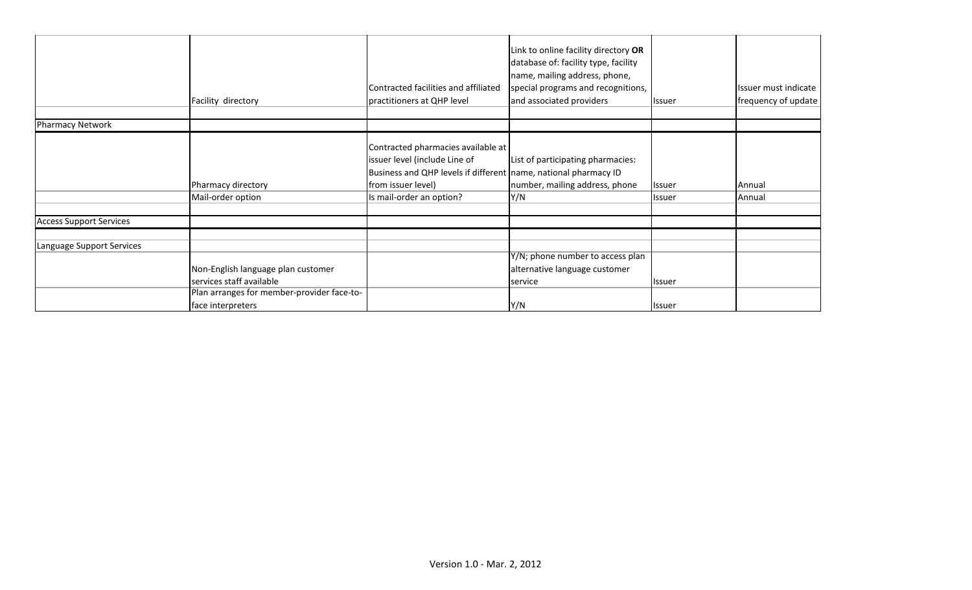| Facility directory                                                                                           | practitioners at QHP level                                                      | Link to online facility directory OR<br>database of: facility type, facility<br>name, mailing address, phone,<br>special programs and recognitions,<br>and associated providers | <b>Issuer</b>                                                                                                       | Issuer must indicate<br>frequency of update |
|--------------------------------------------------------------------------------------------------------------|---------------------------------------------------------------------------------|---------------------------------------------------------------------------------------------------------------------------------------------------------------------------------|---------------------------------------------------------------------------------------------------------------------|---------------------------------------------|
|                                                                                                              |                                                                                 |                                                                                                                                                                                 |                                                                                                                     |                                             |
| Pharmacy directory<br>Mail-order option                                                                      | issuer level (include Line of<br>from issuer level)<br>Is mail-order an option? | List of participating pharmacies:<br>number, mailing address, phone                                                                                                             | <b>Issuer</b><br>Issuer                                                                                             | Annual<br>Annual                            |
|                                                                                                              |                                                                                 |                                                                                                                                                                                 |                                                                                                                     |                                             |
| Non-English language plan customer<br>services staff available<br>Plan arranges for member-provider face-to- |                                                                                 | Y/N; phone number to access plan<br>alternative language customer<br>service                                                                                                    | Issuer                                                                                                              |                                             |
|                                                                                                              | face interpreters                                                               | Contracted facilities and affiliated                                                                                                                                            | Contracted pharmacies available at<br>Business and QHP levels if different name, national pharmacy ID<br>Y/N<br>Y/N | <b>Issuer</b>                               |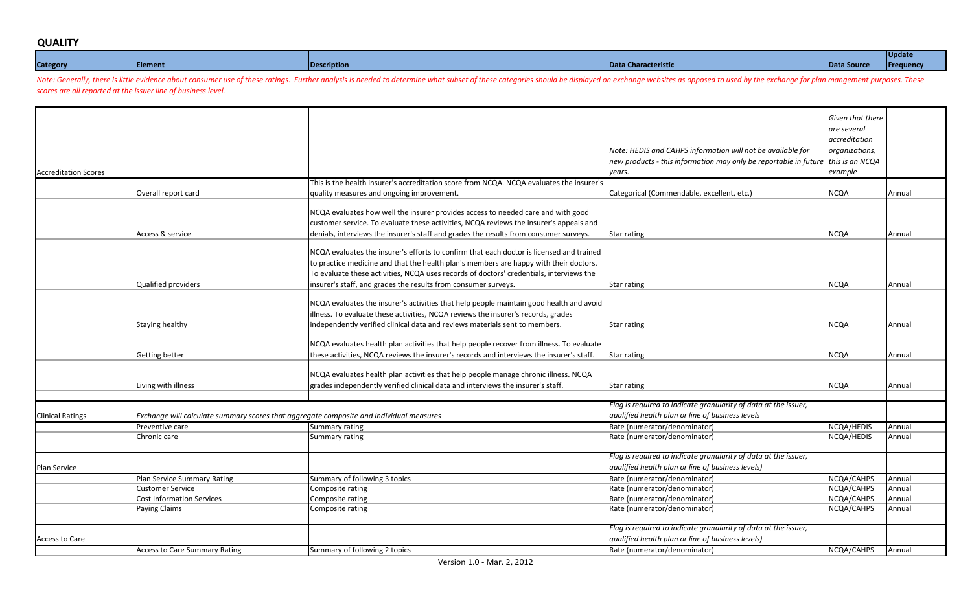## **QUALITY**

|                 |           |     |                      |        | NH 16. |
|-----------------|-----------|-----|----------------------|--------|--------|
| <b>Category</b> | Elem<br>. | лно | Da<br><b>REFISUL</b> | יזוומצ |        |

Note: Generally, there is little evidence about consumer use of these ratings. Further analysis is needed to determine what subset of these categories should be displayed on exchange websites as opposed to used by the exch *scores are all reported at the issuer line of business level.* 

| <b>Accreditation Scores</b> |                                  |                                                                                                                                                                                                                                                                                                                                                                                                                                                                                                                                                                                                                                                                                                                                                                                                                                                                                                                                                                                                                                                                                                                                                                                                                                                                                                                                                                                                                                                                                                                                            | Note: HEDIS and CAHPS information will not be available for | Given that there<br>are several<br>accreditation<br>organizations,<br>example |        |
|-----------------------------|----------------------------------|--------------------------------------------------------------------------------------------------------------------------------------------------------------------------------------------------------------------------------------------------------------------------------------------------------------------------------------------------------------------------------------------------------------------------------------------------------------------------------------------------------------------------------------------------------------------------------------------------------------------------------------------------------------------------------------------------------------------------------------------------------------------------------------------------------------------------------------------------------------------------------------------------------------------------------------------------------------------------------------------------------------------------------------------------------------------------------------------------------------------------------------------------------------------------------------------------------------------------------------------------------------------------------------------------------------------------------------------------------------------------------------------------------------------------------------------------------------------------------------------------------------------------------------------|-------------------------------------------------------------|-------------------------------------------------------------------------------|--------|
|                             |                                  |                                                                                                                                                                                                                                                                                                                                                                                                                                                                                                                                                                                                                                                                                                                                                                                                                                                                                                                                                                                                                                                                                                                                                                                                                                                                                                                                                                                                                                                                                                                                            |                                                             |                                                                               |        |
|                             | Overall report card              |                                                                                                                                                                                                                                                                                                                                                                                                                                                                                                                                                                                                                                                                                                                                                                                                                                                                                                                                                                                                                                                                                                                                                                                                                                                                                                                                                                                                                                                                                                                                            |                                                             |                                                                               | Annual |
|                             |                                  |                                                                                                                                                                                                                                                                                                                                                                                                                                                                                                                                                                                                                                                                                                                                                                                                                                                                                                                                                                                                                                                                                                                                                                                                                                                                                                                                                                                                                                                                                                                                            |                                                             |                                                                               |        |
|                             |                                  | NCQA evaluates how well the insurer provides access to needed care and with good<br>customer service. To evaluate these activities, NCQA reviews the insurer's appeals and                                                                                                                                                                                                                                                                                                                                                                                                                                                                                                                                                                                                                                                                                                                                                                                                                                                                                                                                                                                                                                                                                                                                                                                                                                                                                                                                                                 |                                                             |                                                                               |        |
|                             | Access & service                 | denials, interviews the insurer's staff and grades the results from consumer surveys.                                                                                                                                                                                                                                                                                                                                                                                                                                                                                                                                                                                                                                                                                                                                                                                                                                                                                                                                                                                                                                                                                                                                                                                                                                                                                                                                                                                                                                                      | <b>Star rating</b>                                          | <b>NCQA</b>                                                                   | Annual |
|                             | Qualified providers              | NCQA evaluates the insurer's efforts to confirm that each doctor is licensed and trained<br>to practice medicine and that the health plan's members are happy with their doctors.<br>To evaluate these activities, NCQA uses records of doctors' credentials, interviews the                                                                                                                                                                                                                                                                                                                                                                                                                                                                                                                                                                                                                                                                                                                                                                                                                                                                                                                                                                                                                                                                                                                                                                                                                                                               |                                                             | <b>NCQA</b>                                                                   | Annual |
|                             |                                  | NCQA evaluates the insurer's activities that help people maintain good health and avoid<br>illness. To evaluate these activities, NCQA reviews the insurer's records, grades                                                                                                                                                                                                                                                                                                                                                                                                                                                                                                                                                                                                                                                                                                                                                                                                                                                                                                                                                                                                                                                                                                                                                                                                                                                                                                                                                               |                                                             |                                                                               |        |
|                             | Staying healthy                  |                                                                                                                                                                                                                                                                                                                                                                                                                                                                                                                                                                                                                                                                                                                                                                                                                                                                                                                                                                                                                                                                                                                                                                                                                                                                                                                                                                                                                                                                                                                                            | <b>Star rating</b>                                          | <b>NCQA</b>                                                                   | Annual |
|                             | Getting better                   | NCQA evaluates health plan activities that help people recover from illness. To evaluate<br>these activities, NCQA reviews the insurer's records and interviews the insurer's staff.                                                                                                                                                                                                                                                                                                                                                                                                                                                                                                                                                                                                                                                                                                                                                                                                                                                                                                                                                                                                                                                                                                                                                                                                                                                                                                                                                       | <b>Star rating</b>                                          | <b>NCQA</b>                                                                   | Annual |
|                             | Living with illness              | new products - this information may only be reportable in future this is an NCQA<br>years.<br>This is the health insurer's accreditation score from NCQA. NCQA evaluates the insurer's<br><b>NCQA</b><br>quality measures and ongoing improvement.<br>Categorical (Commendable, excellent, etc.)<br>insurer's staff, and grades the results from consumer surveys.<br><b>Star rating</b><br>ndependently verified clinical data and reviews materials sent to members.<br>NCQA evaluates health plan activities that help people manage chronic illness. NCQA<br>grades independently verified clinical data and interviews the insurer's staff.<br><b>Star rating</b><br>Flag is required to indicate granularity of data at the issuer,<br>qualified health plan or line of business levels<br>Exchange will calculate summary scores that aggregate composite and individual measures<br>Rate (numerator/denominator)<br>Summary rating<br>Rate (numerator/denominator)<br>Summary rating<br>Flag is required to indicate granularity of data at the issuer,<br>qualified health plan or line of business levels)<br>Summary of following 3 topics<br>Rate (numerator/denominator)<br>Rate (numerator/denominator)<br>Composite rating<br>Rate (numerator/denominator)<br>Composite rating<br>Rate (numerator/denominator)<br>Composite rating<br>Flag is required to indicate granularity of data at the issuer,<br>qualified health plan or line of business levels)<br>Summary of following 2 topics<br>Rate (numerator/denominator) | <b>NCQA</b>                                                 | Annual                                                                        |        |
|                             |                                  |                                                                                                                                                                                                                                                                                                                                                                                                                                                                                                                                                                                                                                                                                                                                                                                                                                                                                                                                                                                                                                                                                                                                                                                                                                                                                                                                                                                                                                                                                                                                            |                                                             |                                                                               |        |
|                             |                                  |                                                                                                                                                                                                                                                                                                                                                                                                                                                                                                                                                                                                                                                                                                                                                                                                                                                                                                                                                                                                                                                                                                                                                                                                                                                                                                                                                                                                                                                                                                                                            |                                                             |                                                                               |        |
| <b>Clinical Ratings</b>     |                                  |                                                                                                                                                                                                                                                                                                                                                                                                                                                                                                                                                                                                                                                                                                                                                                                                                                                                                                                                                                                                                                                                                                                                                                                                                                                                                                                                                                                                                                                                                                                                            |                                                             |                                                                               |        |
|                             | Preventive care                  |                                                                                                                                                                                                                                                                                                                                                                                                                                                                                                                                                                                                                                                                                                                                                                                                                                                                                                                                                                                                                                                                                                                                                                                                                                                                                                                                                                                                                                                                                                                                            |                                                             | NCQA/HEDIS<br>NCQA/HEDIS                                                      | Annual |
|                             | Chronic care                     |                                                                                                                                                                                                                                                                                                                                                                                                                                                                                                                                                                                                                                                                                                                                                                                                                                                                                                                                                                                                                                                                                                                                                                                                                                                                                                                                                                                                                                                                                                                                            |                                                             |                                                                               | Annual |
|                             |                                  |                                                                                                                                                                                                                                                                                                                                                                                                                                                                                                                                                                                                                                                                                                                                                                                                                                                                                                                                                                                                                                                                                                                                                                                                                                                                                                                                                                                                                                                                                                                                            |                                                             |                                                                               |        |
| Plan Service                |                                  |                                                                                                                                                                                                                                                                                                                                                                                                                                                                                                                                                                                                                                                                                                                                                                                                                                                                                                                                                                                                                                                                                                                                                                                                                                                                                                                                                                                                                                                                                                                                            |                                                             |                                                                               |        |
|                             | Plan Service Summary Rating      |                                                                                                                                                                                                                                                                                                                                                                                                                                                                                                                                                                                                                                                                                                                                                                                                                                                                                                                                                                                                                                                                                                                                                                                                                                                                                                                                                                                                                                                                                                                                            |                                                             | NCQA/CAHPS                                                                    | Annual |
|                             | Customer Service                 |                                                                                                                                                                                                                                                                                                                                                                                                                                                                                                                                                                                                                                                                                                                                                                                                                                                                                                                                                                                                                                                                                                                                                                                                                                                                                                                                                                                                                                                                                                                                            |                                                             | NCQA/CAHPS                                                                    | Annual |
|                             | <b>Cost Information Services</b> |                                                                                                                                                                                                                                                                                                                                                                                                                                                                                                                                                                                                                                                                                                                                                                                                                                                                                                                                                                                                                                                                                                                                                                                                                                                                                                                                                                                                                                                                                                                                            |                                                             | NCQA/CAHPS                                                                    | Annual |
|                             | Paying Claims                    |                                                                                                                                                                                                                                                                                                                                                                                                                                                                                                                                                                                                                                                                                                                                                                                                                                                                                                                                                                                                                                                                                                                                                                                                                                                                                                                                                                                                                                                                                                                                            |                                                             | NCQA/CAHPS                                                                    | Annual |
|                             |                                  |                                                                                                                                                                                                                                                                                                                                                                                                                                                                                                                                                                                                                                                                                                                                                                                                                                                                                                                                                                                                                                                                                                                                                                                                                                                                                                                                                                                                                                                                                                                                            |                                                             |                                                                               |        |
|                             |                                  |                                                                                                                                                                                                                                                                                                                                                                                                                                                                                                                                                                                                                                                                                                                                                                                                                                                                                                                                                                                                                                                                                                                                                                                                                                                                                                                                                                                                                                                                                                                                            |                                                             |                                                                               |        |
| Access to Care              |                                  |                                                                                                                                                                                                                                                                                                                                                                                                                                                                                                                                                                                                                                                                                                                                                                                                                                                                                                                                                                                                                                                                                                                                                                                                                                                                                                                                                                                                                                                                                                                                            |                                                             |                                                                               |        |
|                             | Access to Care Summary Rating    |                                                                                                                                                                                                                                                                                                                                                                                                                                                                                                                                                                                                                                                                                                                                                                                                                                                                                                                                                                                                                                                                                                                                                                                                                                                                                                                                                                                                                                                                                                                                            |                                                             | NCQA/CAHPS                                                                    | Annual |